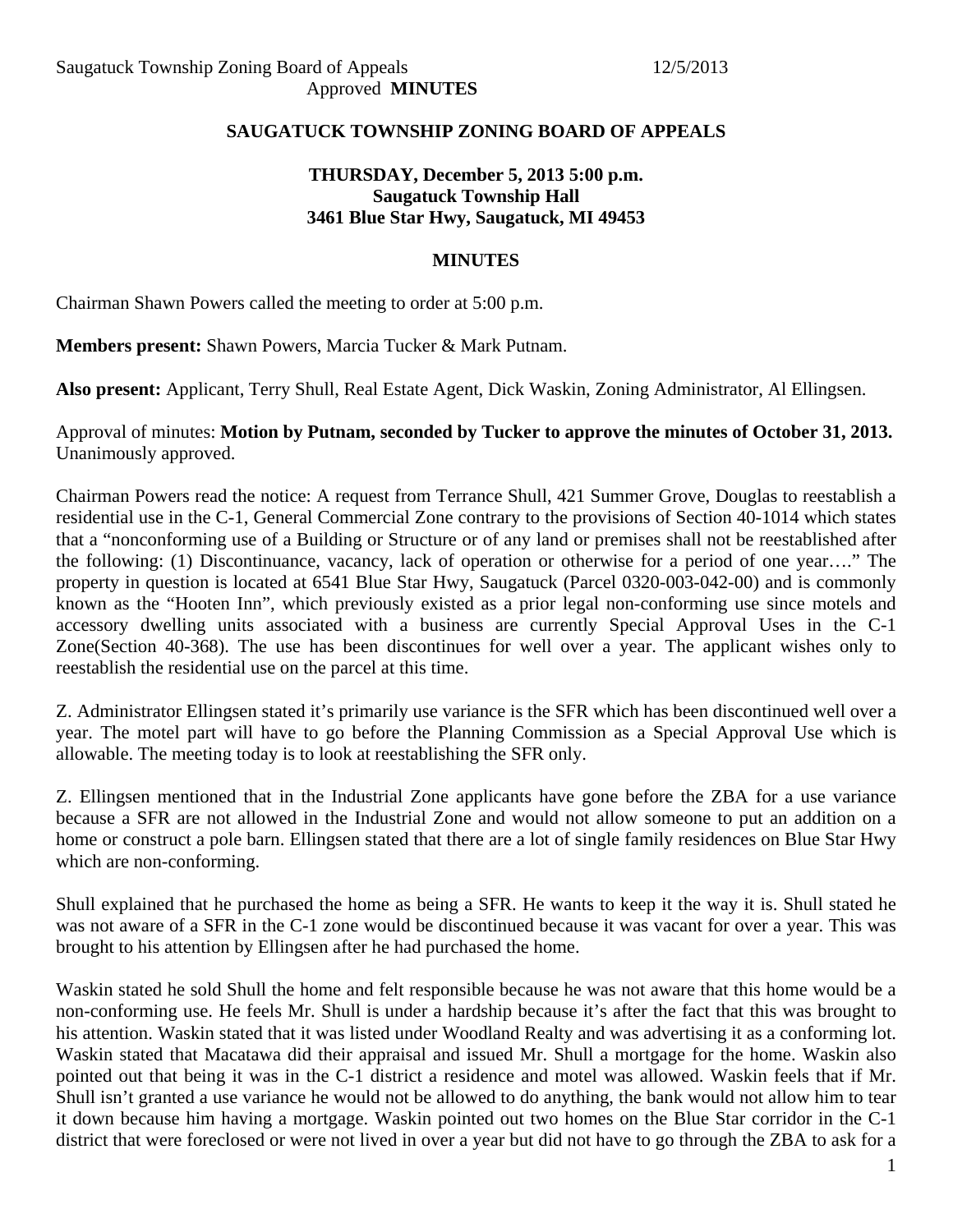### **SAUGATUCK TOWNSHIP ZONING BOARD OF APPEALS**

# **THURSDAY, December 5, 2013 5:00 p.m. Saugatuck Township Hall 3461 Blue Star Hwy, Saugatuck, MI 49453**

#### **MINUTES**

Chairman Shawn Powers called the meeting to order at 5:00 p.m.

**Members present:** Shawn Powers, Marcia Tucker & Mark Putnam.

**Also present:** Applicant, Terry Shull, Real Estate Agent, Dick Waskin, Zoning Administrator, Al Ellingsen.

Approval of minutes: **Motion by Putnam, seconded by Tucker to approve the minutes of October 31, 2013.**  Unanimously approved.

Chairman Powers read the notice: A request from Terrance Shull, 421 Summer Grove, Douglas to reestablish a residential use in the C-1, General Commercial Zone contrary to the provisions of Section 40-1014 which states that a "nonconforming use of a Building or Structure or of any land or premises shall not be reestablished after the following: (1) Discontinuance, vacancy, lack of operation or otherwise for a period of one year…." The property in question is located at 6541 Blue Star Hwy, Saugatuck (Parcel 0320-003-042-00) and is commonly known as the "Hooten Inn", which previously existed as a prior legal non-conforming use since motels and accessory dwelling units associated with a business are currently Special Approval Uses in the C-1 Zone(Section 40-368). The use has been discontinues for well over a year. The applicant wishes only to reestablish the residential use on the parcel at this time.

Z. Administrator Ellingsen stated it's primarily use variance is the SFR which has been discontinued well over a year. The motel part will have to go before the Planning Commission as a Special Approval Use which is allowable. The meeting today is to look at reestablishing the SFR only.

Z. Ellingsen mentioned that in the Industrial Zone applicants have gone before the ZBA for a use variance because a SFR are not allowed in the Industrial Zone and would not allow someone to put an addition on a home or construct a pole barn. Ellingsen stated that there are a lot of single family residences on Blue Star Hwy which are non-conforming.

Shull explained that he purchased the home as being a SFR. He wants to keep it the way it is. Shull stated he was not aware of a SFR in the C-1 zone would be discontinued because it was vacant for over a year. This was brought to his attention by Ellingsen after he had purchased the home.

Waskin stated he sold Shull the home and felt responsible because he was not aware that this home would be a non-conforming use. He feels Mr. Shull is under a hardship because it's after the fact that this was brought to his attention. Waskin stated that it was listed under Woodland Realty and was advertising it as a conforming lot. Waskin stated that Macatawa did their appraisal and issued Mr. Shull a mortgage for the home. Waskin also pointed out that being it was in the C-1 district a residence and motel was allowed. Waskin feels that if Mr. Shull isn't granted a use variance he would not be allowed to do anything, the bank would not allow him to tear it down because him having a mortgage. Waskin pointed out two homes on the Blue Star corridor in the C-1 district that were foreclosed or were not lived in over a year but did not have to go through the ZBA to ask for a